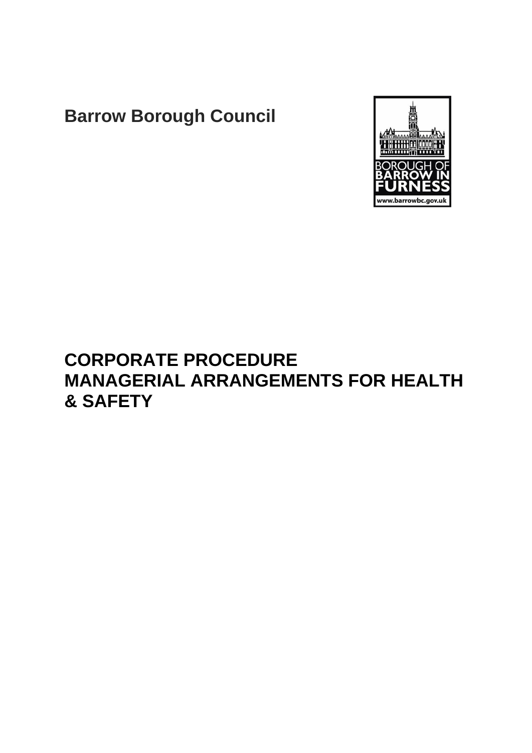# **Barrow Borough Council**



# **CORPORATE PROCEDURE MANAGERIAL ARRANGEMENTS FOR HEALTH & SAFETY**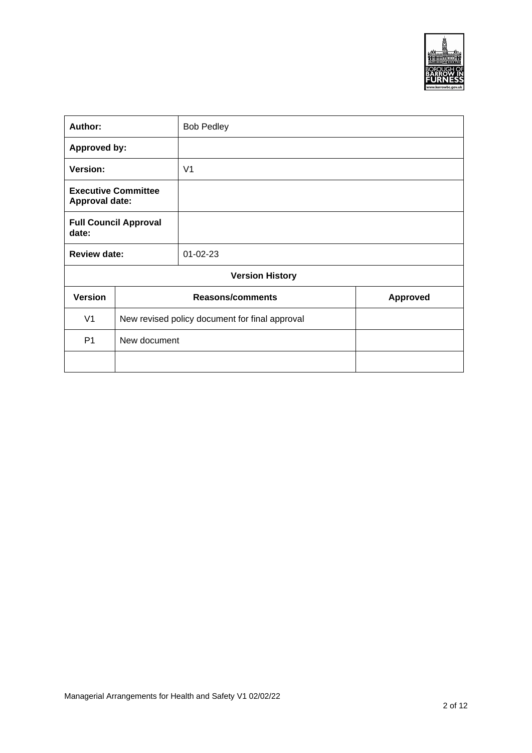

| Author:                                             |                                                | <b>Bob Pedley</b>       |                 |  |
|-----------------------------------------------------|------------------------------------------------|-------------------------|-----------------|--|
| <b>Approved by:</b>                                 |                                                |                         |                 |  |
| Version:                                            |                                                | V <sub>1</sub>          |                 |  |
| <b>Executive Committee</b><br><b>Approval date:</b> |                                                |                         |                 |  |
| <b>Full Council Approval</b><br>date:               |                                                |                         |                 |  |
| <b>Review date:</b>                                 |                                                | $01 - 02 - 23$          |                 |  |
|                                                     |                                                | <b>Version History</b>  |                 |  |
| <b>Version</b>                                      |                                                | <b>Reasons/comments</b> | <b>Approved</b> |  |
| V <sub>1</sub>                                      | New revised policy document for final approval |                         |                 |  |
| P <sub>1</sub>                                      | New document                                   |                         |                 |  |
|                                                     |                                                |                         |                 |  |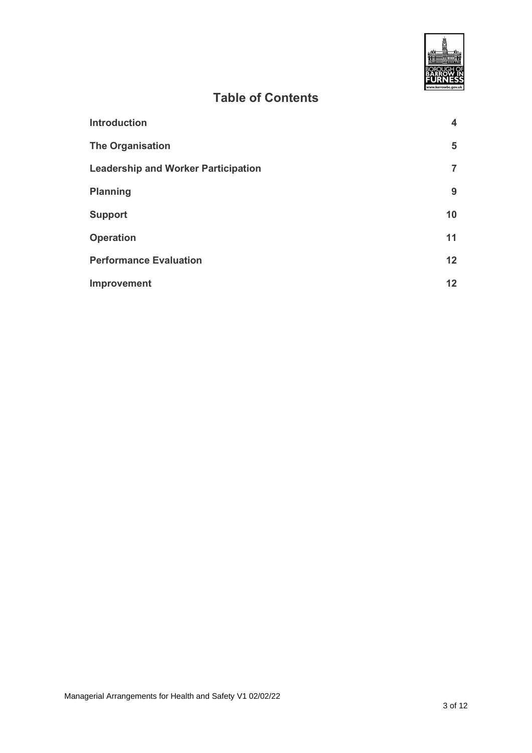

## **Table of Contents**

| <b>Introduction</b>                        | 4               |
|--------------------------------------------|-----------------|
| <b>The Organisation</b>                    | 5               |
| <b>Leadership and Worker Participation</b> | 7               |
| <b>Planning</b>                            | 9               |
| <b>Support</b>                             | 10              |
| <b>Operation</b>                           | 11              |
| <b>Performance Evaluation</b>              | 12 <sup>2</sup> |
| Improvement                                | 12              |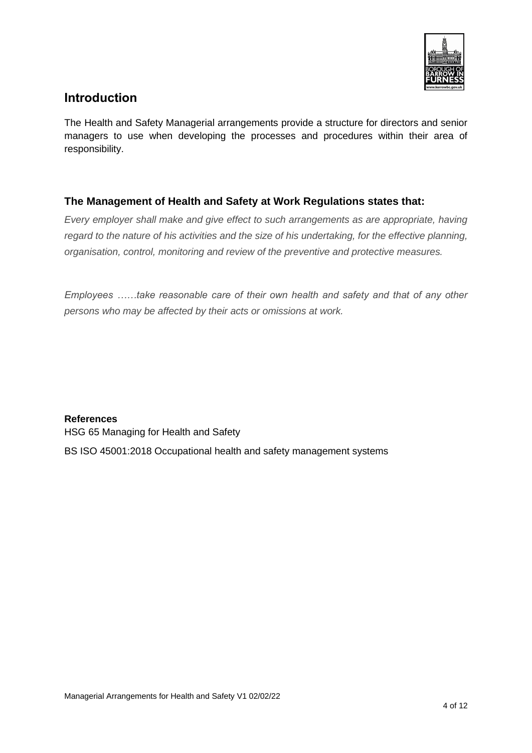

#### <span id="page-3-0"></span>**Introduction**

The Health and Safety Managerial arrangements provide a structure for directors and senior managers to use when developing the processes and procedures within their area of responsibility.

#### **The Management of Health and Safety at Work Regulations states that:**

*Every employer shall make and give effect to such arrangements as are appropriate, having regard to the nature of his activities and the size of his undertaking, for the effective planning, organisation, control, monitoring and review of the preventive and protective measures.*

*Employees ……take reasonable care of their own health and safety and that of any other persons who may be affected by their acts or omissions at work.*

#### **References**

HSG 65 Managing for Health and Safety

BS ISO 45001:2018 Occupational health and safety management systems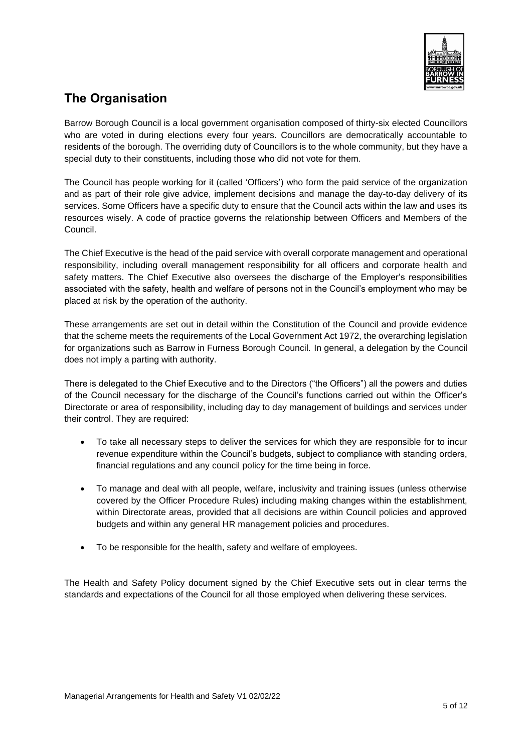

### <span id="page-4-0"></span>**The Organisation**

Barrow Borough Council is a local government organisation composed of thirty-six elected Councillors who are voted in during elections every four years. Councillors are democratically accountable to residents of the borough. The overriding duty of Councillors is to the whole community, but they have a special duty to their constituents, including those who did not vote for them.

The Council has people working for it (called 'Officers') who form the paid service of the organization and as part of their role give advice, implement decisions and manage the day-to-day delivery of its services. Some Officers have a specific duty to ensure that the Council acts within the law and uses its resources wisely. A code of practice governs the relationship between Officers and Members of the Council.

The Chief Executive is the head of the paid service with overall corporate management and operational responsibility, including overall management responsibility for all officers and corporate health and safety matters. The Chief Executive also oversees the discharge of the Employer's responsibilities associated with the safety, health and welfare of persons not in the Council's employment who may be placed at risk by the operation of the authority.

These arrangements are set out in detail within the Constitution of the Council and provide evidence that the scheme meets the requirements of the Local Government Act 1972, the overarching legislation for organizations such as Barrow in Furness Borough Council. In general, a delegation by the Council does not imply a parting with authority.

There is delegated to the Chief Executive and to the Directors ("the Officers") all the powers and duties of the Council necessary for the discharge of the Council's functions carried out within the Officer's Directorate or area of responsibility, including day to day management of buildings and services under their control. They are required:

- To take all necessary steps to deliver the services for which they are responsible for to incur revenue expenditure within the Council's budgets, subject to compliance with standing orders, financial regulations and any council policy for the time being in force.
- To manage and deal with all people, welfare, inclusivity and training issues (unless otherwise covered by the Officer Procedure Rules) including making changes within the establishment, within Directorate areas, provided that all decisions are within Council policies and approved budgets and within any general HR management policies and procedures.
- To be responsible for the health, safety and welfare of employees.

The Health and Safety Policy document signed by the Chief Executive sets out in clear terms the standards and expectations of the Council for all those employed when delivering these services.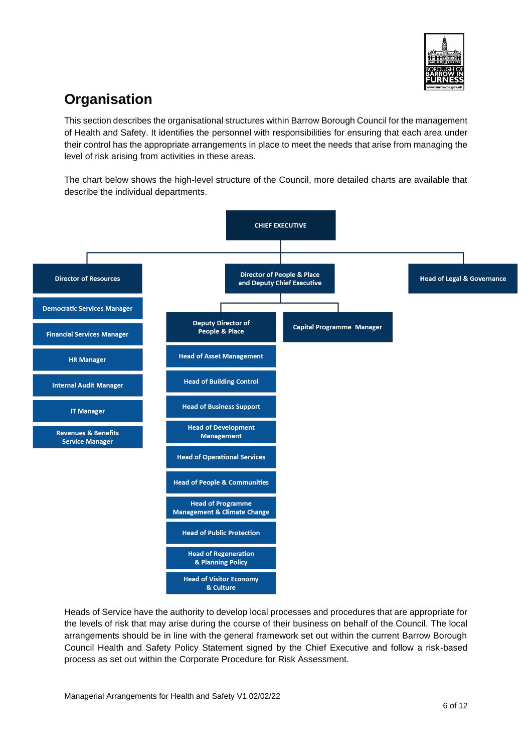

## **Organisation**

This section describes the organisational structures within Barrow Borough Council for the management of Health and Safety. It identifies the personnel with responsibilities for ensuring that each area under their control has the appropriate arrangements in place to meet the needs that arise from managing the level of risk arising from activities in these areas.

The chart below shows the high-level structure of the Council, more detailed charts are available that describe the individual departments.



Heads of Service have the authority to develop local processes and procedures that are appropriate for the levels of risk that may arise during the course of their business on behalf of the Council. The local arrangements should be in line with the general framework set out within the current Barrow Borough Council Health and Safety Policy Statement signed by the Chief Executive and follow a risk-based process as set out within the Corporate Procedure for Risk Assessment.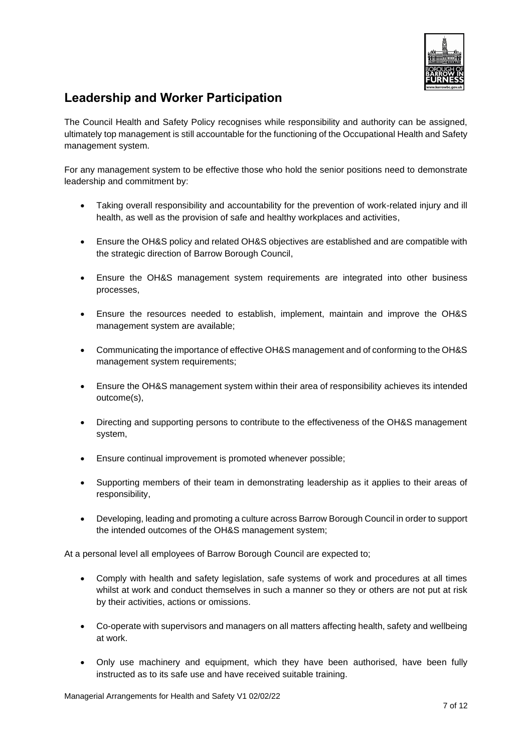

### <span id="page-6-0"></span>**Leadership and Worker Participation**

The Council Health and Safety Policy recognises while responsibility and authority can be assigned, ultimately top management is still accountable for the functioning of the Occupational Health and Safety management system.

For any management system to be effective those who hold the senior positions need to demonstrate leadership and commitment by:

- Taking overall responsibility and accountability for the prevention of work-related injury and ill health, as well as the provision of safe and healthy workplaces and activities,
- Ensure the OH&S policy and related OH&S objectives are established and are compatible with the strategic direction of Barrow Borough Council,
- Ensure the OH&S management system requirements are integrated into other business processes,
- Ensure the resources needed to establish, implement, maintain and improve the OH&S management system are available;
- Communicating the importance of effective OH&S management and of conforming to the OH&S management system requirements;
- Ensure the OH&S management system within their area of responsibility achieves its intended outcome(s),
- Directing and supporting persons to contribute to the effectiveness of the OH&S management system,
- Ensure continual improvement is promoted whenever possible;
- Supporting members of their team in demonstrating leadership as it applies to their areas of responsibility,
- Developing, leading and promoting a culture across Barrow Borough Council in order to support the intended outcomes of the OH&S management system;

At a personal level all employees of Barrow Borough Council are expected to;

- Comply with health and safety legislation, safe systems of work and procedures at all times whilst at work and conduct themselves in such a manner so they or others are not put at risk by their activities, actions or omissions.
- Co-operate with supervisors and managers on all matters affecting health, safety and wellbeing at work.
- Only use machinery and equipment, which they have been authorised, have been fully instructed as to its safe use and have received suitable training.

Managerial Arrangements for Health and Safety V1 02/02/22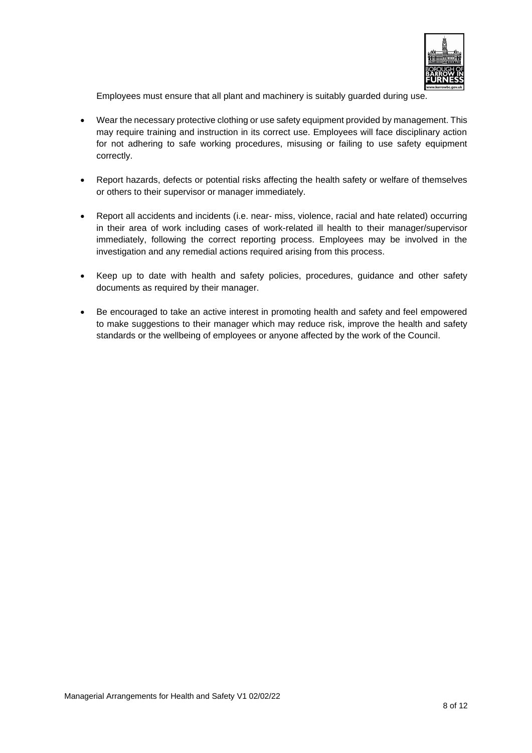

Employees must ensure that all plant and machinery is suitably guarded during use.

- Wear the necessary protective clothing or use safety equipment provided by management. This may require training and instruction in its correct use. Employees will face disciplinary action for not adhering to safe working procedures, misusing or failing to use safety equipment correctly.
- Report hazards, defects or potential risks affecting the health safety or welfare of themselves or others to their supervisor or manager immediately.
- Report all accidents and incidents (i.e. near- miss, violence, racial and hate related) occurring in their area of work including cases of work-related ill health to their manager/supervisor immediately, following the correct reporting process. Employees may be involved in the investigation and any remedial actions required arising from this process.
- Keep up to date with health and safety policies, procedures, guidance and other safety documents as required by their manager.
- Be encouraged to take an active interest in promoting health and safety and feel empowered to make suggestions to their manager which may reduce risk, improve the health and safety standards or the wellbeing of employees or anyone affected by the work of the Council.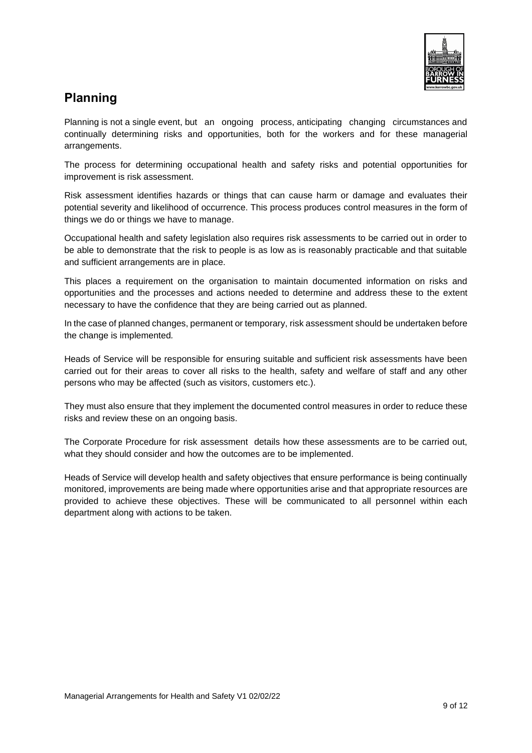

### <span id="page-8-0"></span>**Planning**

Planning is not a single event, but an ongoing process, anticipating changing circumstances and continually determining risks and opportunities, both for the workers and for these managerial arrangements.

The process for determining occupational health and safety risks and potential opportunities for improvement is risk assessment.

Risk assessment identifies hazards or things that can cause harm or damage and evaluates their potential severity and likelihood of occurrence. This process produces control measures in the form of things we do or things we have to manage.

Occupational health and safety legislation also requires risk assessments to be carried out in order to be able to demonstrate that the risk to people is as low as is reasonably practicable and that suitable and sufficient arrangements are in place.

This places a requirement on the organisation to maintain documented information on risks and opportunities and the processes and actions needed to determine and address these to the extent necessary to have the confidence that they are being carried out as planned.

In the case of planned changes, permanent or temporary, risk assessment should be undertaken before the change is implemented*.*

Heads of Service will be responsible for ensuring suitable and sufficient risk assessments have been carried out for their areas to cover all risks to the health, safety and welfare of staff and any other persons who may be affected (such as visitors, customers etc.).

They must also ensure that they implement the documented control measures in order to reduce these risks and review these on an ongoing basis.

The Corporate Procedure for risk assessment details how these assessments are to be carried out, what they should consider and how the outcomes are to be implemented.

Heads of Service will develop health and safety objectives that ensure performance is being continually monitored, improvements are being made where opportunities arise and that appropriate resources are provided to achieve these objectives. These will be communicated to all personnel within each department along with actions to be taken.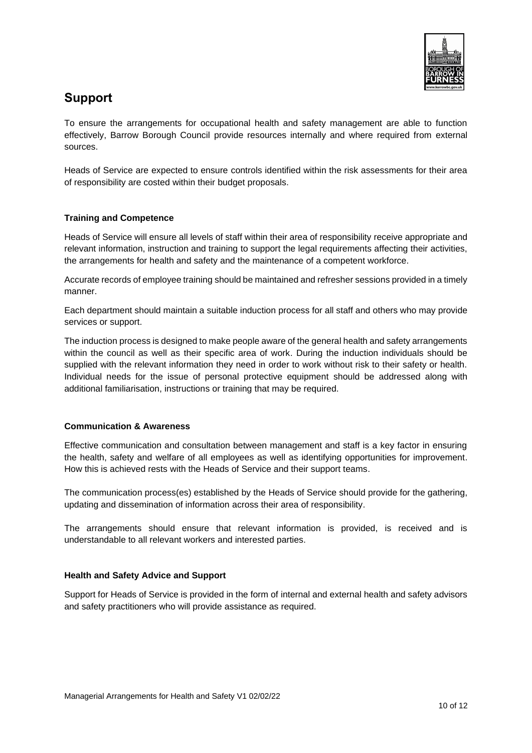

#### <span id="page-9-0"></span>**Support**

To ensure the arrangements for occupational health and safety management are able to function effectively, Barrow Borough Council provide resources internally and where required from external sources.

Heads of Service are expected to ensure controls identified within the risk assessments for their area of responsibility are costed within their budget proposals.

#### **Training and Competence**

Heads of Service will ensure all levels of staff within their area of responsibility receive appropriate and relevant information, instruction and training to support the legal requirements affecting their activities, the arrangements for health and safety and the maintenance of a competent workforce.

Accurate records of employee training should be maintained and refresher sessions provided in a timely manner.

Each department should maintain a suitable induction process for all staff and others who may provide services or support.

The induction process is designed to make people aware of the general health and safety arrangements within the council as well as their specific area of work. During the induction individuals should be supplied with the relevant information they need in order to work without risk to their safety or health. Individual needs for the issue of personal protective equipment should be addressed along with additional familiarisation, instructions or training that may be required.

#### **Communication & Awareness**

Effective communication and consultation between management and staff is a key factor in ensuring the health, safety and welfare of all employees as well as identifying opportunities for improvement. How this is achieved rests with the Heads of Service and their support teams.

The communication process(es) established by the Heads of Service should provide for the gathering, updating and dissemination of information across their area of responsibility.

The arrangements should ensure that relevant information is provided, is received and is understandable to all relevant workers and interested parties.

#### **Health and Safety Advice and Support**

Support for Heads of Service is provided in the form of internal and external health and safety advisors and safety practitioners who will provide assistance as required.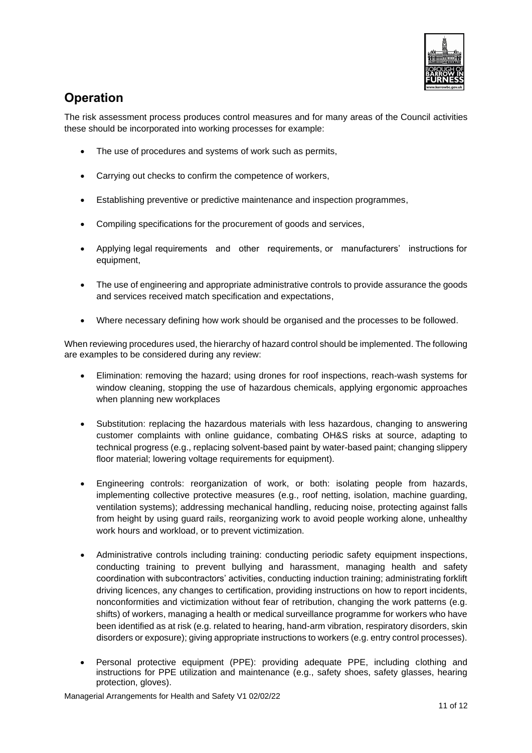

### <span id="page-10-0"></span>**Operation**

The risk assessment process produces control measures and for many areas of the Council activities these should be incorporated into working processes for example:

- The use of procedures and systems of work such as permits,
- Carrying out checks to confirm the competence of workers,
- Establishing preventive or predictive maintenance and inspection programmes,
- Compiling specifications for the procurement of goods and services,
- Applying legal requirements and other requirements, or manufacturers' instructions for equipment,
- The use of engineering and appropriate administrative controls to provide assurance the goods and services received match specification and expectations,
- Where necessary defining how work should be organised and the processes to be followed.

When reviewing procedures used, the hierarchy of hazard control should be implemented. The following are examples to be considered during any review:

- Elimination: removing the hazard; using drones for roof inspections, reach-wash systems for window cleaning, stopping the use of hazardous chemicals, applying ergonomic approaches when planning new workplaces
- Substitution: replacing the hazardous materials with less hazardous, changing to answering customer complaints with online guidance, combating OH&S risks at source, adapting to technical progress (e.g., replacing solvent-based paint by water-based paint; changing slippery floor material; lowering voltage requirements for equipment).
- Engineering controls: reorganization of work, or both: isolating people from hazards, implementing collective protective measures (e.g., roof netting, isolation, machine guarding, ventilation systems); addressing mechanical handling, reducing noise, protecting against falls from height by using guard rails, reorganizing work to avoid people working alone, unhealthy work hours and workload, or to prevent victimization.
- Administrative controls including training: conducting periodic safety equipment inspections, conducting training to prevent bullying and harassment, managing health and safety coordination with subcontractors' activities, conducting induction training; administrating forklift driving licences, any changes to certification, providing instructions on how to report incidents, nonconformities and victimization without fear of retribution, changing the work patterns (e.g. shifts) of workers, managing a health or medical surveillance programme for workers who have been identified as at risk (e.g. related to hearing, hand-arm vibration, respiratory disorders, skin disorders or exposure); giving appropriate instructions to workers (e.g. entry control processes).
- Personal protective equipment (PPE): providing adequate PPE, including clothing and instructions for PPE utilization and maintenance (e.g., safety shoes, safety glasses, hearing protection, gloves).

Managerial Arrangements for Health and Safety V1 02/02/22